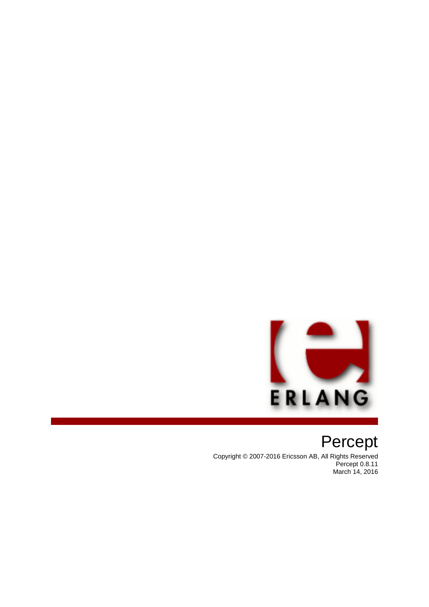

### Percept Copyright © 2007-2016 Ericsson AB, All Rights Reserved Percept 0.8.11 March 14, 2016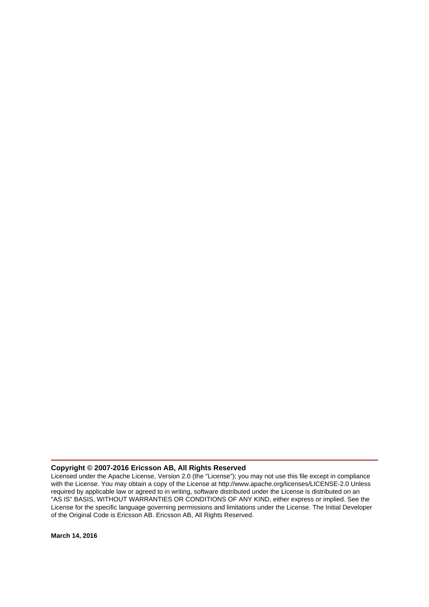### **Copyright © 2007-2016 Ericsson AB, All Rights Reserved**

Licensed under the Apache License, Version 2.0 (the "License"); you may not use this file except in compliance with the License. You may obtain a copy of the License at http://www.apache.org/licenses/LICENSE-2.0 Unless required by applicable law or agreed to in writing, software distributed under the License is distributed on an "AS IS" BASIS, WITHOUT WARRANTIES OR CONDITIONS OF ANY KIND, either express or implied. See the License for the specific language governing permissions and limitations under the License. The Initial Developer of the Original Code is Ericsson AB. Ericsson AB, All Rights Reserved.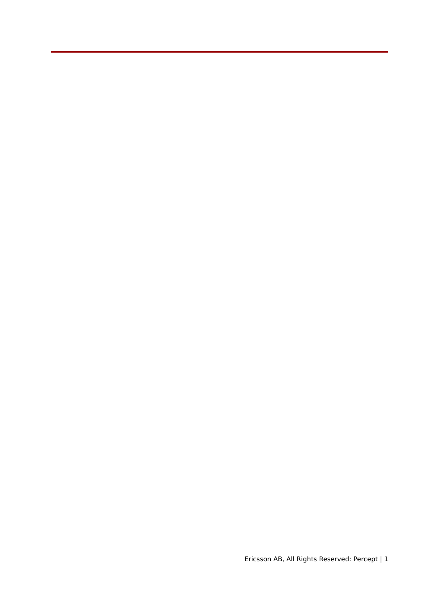Ericsson AB, All Rights Reserved: Percept | 1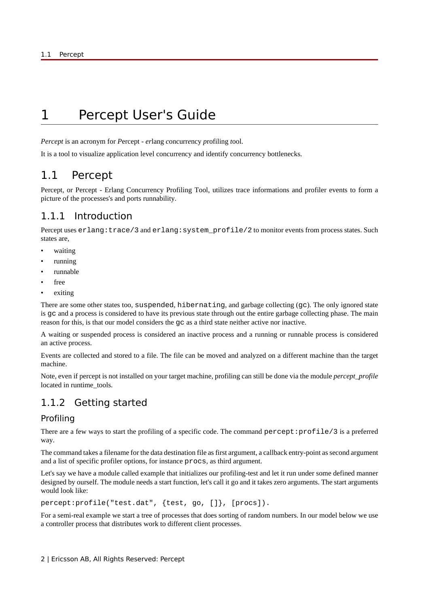# 1 Percept User's Guide

*Percept* is an acronym for *P*ercept - *er*lang *c*oncurr*e*ncy *p*rofiling *t*ool.

It is a tool to visualize application level concurrency and identify concurrency bottlenecks.

# 1.1 Percept

Percept, or Percept - Erlang Concurrency Profiling Tool, utilizes trace informations and profiler events to form a picture of the processes's and ports runnability.

# 1.1.1 Introduction

Percept uses erlang: trace/3 and erlang: system\_profile/2 to monitor events from process states. Such states are,

- waiting
- running
- runnable
- free
- exiting

There are some other states too, suspended, hibernating, and garbage collecting (gc). The only ignored state is gc and a process is considered to have its previous state through out the entire garbage collecting phase. The main reason for this, is that our model considers the gc as a third state neither active nor inactive.

A waiting or suspended process is considered an inactive process and a running or runnable process is considered an active process.

Events are collected and stored to a file. The file can be moved and analyzed on a different machine than the target machine.

Note, even if percept is not installed on your target machine, profiling can still be done via the module *percept\_profile* located in runtime\_tools.

# 1.1.2 Getting started

### Profiling

There are a few ways to start the profiling of a specific code. The command percept:profile/3 is a preferred way.

The command takes a filename for the data destination file as first argument, a callback entry-point as second argument and a list of specific profiler options, for instance procs, as third argument.

Let's say we have a module called example that initializes our profiling-test and let it run under some defined manner designed by ourself. The module needs a start function, let's call it go and it takes zero arguments. The start arguments would look like:

percept:profile("test.dat", {test, go, []}, [procs]).

For a semi-real example we start a tree of processes that does sorting of random numbers. In our model below we use a controller process that distributes work to different client processes.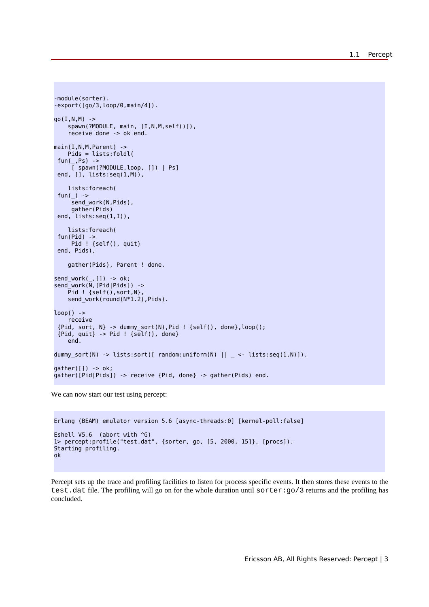```
-module(sorter).
-export([go/3,loop/0,main/4]).
q_0(I, N, M) ->
    spawn(?MODULE, main, [I,N,M,self()]),
     receive done -> ok end.
main(I,N,M,Parent) ->
    Pids = lists:foldl(
 fun(\_ ,Ps) ->
     \overline{[} spawn(?MODULE, loop, [ ] ) | Ps]
  end, [], lists:seq(1,M)),
     lists:foreach(
 fun(\_) ->
     send work(N,Pids),
      gather(Pids)
  end, lists:seq(1,I)),
     lists:foreach(
  fun(Pid) ->
     Pid ! {self(), quit}
  end, Pids),
     gather(Pids), Parent ! done.
send_work(_,[]) -> ok;
send_   work( N,[Pid|Pids]) ->
    Pid ! {self(),sort,N},
    send work(round(N*1.2),Pids).
loop() ->
     receive
  {Pid, sort, N} -> dummy_sort(N),Pid ! {self(), done},loop();
 {Pid, quit} -> Pid ! {self(), done} end.
dummy_sort(N) -> lists:sort([ random:uniform(N) || _ <- lists:seq(1,N)]).
\text{aather}([]) \rightarrow \text{ok};gather([Pid|Pids]) -> receive {Pid, done} -> gather(Pids) end.
```
We can now start our test using percept:

```
Erlang (BEAM) emulator version 5.6 [async-threads:0] [kernel-poll:false]
Eshell V5.6 (abort with ^G)
1> percept:profile("test.dat", {sorter, go, [5, 2000, 15]}, [procs]).
Starting profiling.
ok
```
Percept sets up the trace and profiling facilities to listen for process specific events. It then stores these events to the test.dat file. The profiling will go on for the whole duration until sorter:go/3 returns and the profiling has concluded.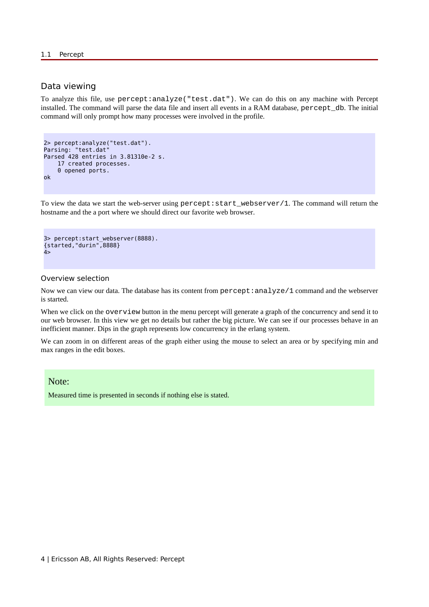#### 1.1 Percept

### Data viewing

To analyze this file, use percept:analyze("test.dat"). We can do this on any machine with Percept installed. The command will parse the data file and insert all events in a RAM database, percept\_db. The initial command will only prompt how many processes were involved in the profile.

```
2> percept:analyze("test.dat"). 
Parsing: "test.dat" 
Parsed 428 entries in 3.81310e-2 s.
     17 created processes.
     0 opened ports.
ok
```
To view the data we start the web-server using percept:start\_webserver/1. The command will return the hostname and the a port where we should direct our favorite web browser.

```
3> percept: start webserver(8888).
{started,"durin",8888}
4>
```
#### Overview selection

Now we can view our data. The database has its content from percept:analyze/1 command and the webserver is started.

When we click on the overview button in the menu percept will generate a graph of the concurrency and send it to our web browser. In this view we get no details but rather the big picture. We can see if our processes behave in an inefficient manner. Dips in the graph represents low concurrency in the erlang system.

We can zoom in on different areas of the graph either using the mouse to select an area or by specifying min and max ranges in the edit boxes.

#### Note:

Measured time is presented in seconds if nothing else is stated.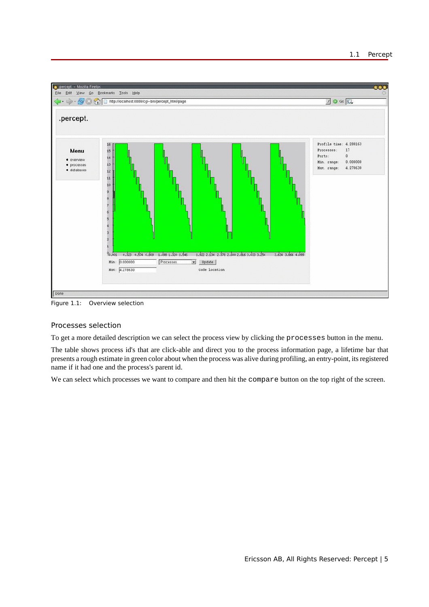

Figure 1.1: Overview selection

### Processes selection

To get a more detailed description we can select the process view by clicking the processes button in the menu.

The table shows process id's that are click-able and direct you to the process information page, a lifetime bar that presents a rough estimate in green color about when the process was alive during profiling, an entry-point, its registered name if it had one and the process's parent id.

We can select which processes we want to compare and then hit the compare button on the top right of the screen.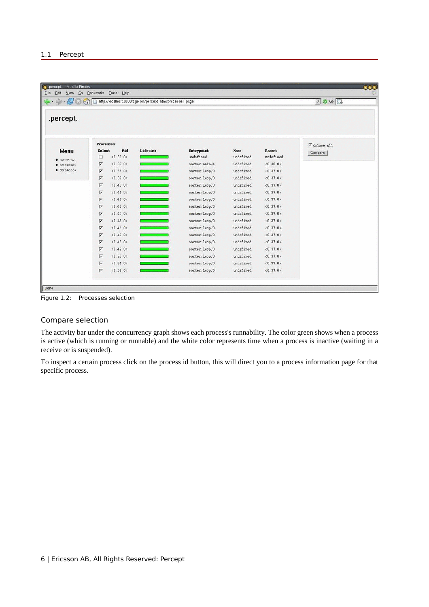|                     | http://localhost:8888/cgi-bin/percept_html/processes_page | O Go CL  |                |           |           |                                       |
|---------------------|-----------------------------------------------------------|----------|----------------|-----------|-----------|---------------------------------------|
| .percept.           |                                                           |          |                |           |           |                                       |
|                     | Processes                                                 |          |                |           |           | $\overline{\triangledown}$ Select all |
| Menu                | Pid<br>Select                                             | Lifetine | Entrypoint     | Name      | Parent    | Compare                               |
| · overview          | (0.30.0)<br>L1                                            |          | undefined      | undefined | undefined |                                       |
| • processes         | (0.37.0)<br>⊽                                             |          | sorter:main/4  | undefined | (0.30.0)  |                                       |
| $\bullet$ databases | ঢ়<br>(0.38.0)                                            |          | sorter: loop/0 | undefined | (0.37.0)  |                                       |
|                     | $\overline{\mathbf{v}}$<br>(0.39.0)                       |          | sorter: loop/0 | undefined | (0.37.0)  |                                       |
|                     | $\overline{\mathbf{v}}$<br>(0.40.0)                       |          | sorter: loop/0 | undefined | (0.37.0)  |                                       |
|                     | ঢ়<br>(0.41.0)                                            |          | sorter: loop/0 | undefined | (0.37.0)  |                                       |
|                     | $\overline{v}$<br>(0.42.0)                                |          | sorter: loop/0 | undefined | <0.37.0>  |                                       |
|                     | ঢ়<br>(0.43.0)                                            |          | sorter: loop/0 | undefined | (0.37.0)  |                                       |
|                     | $\overline{\mathbf{v}}$<br>(0.44.0)                       |          | sorter: loop/0 | undefined | (0.37.0)  |                                       |
|                     | $\overline{\mathbf{v}}$<br>(0.45.0)                       |          | sorter: loop/0 | undefined | (0.37.0)  |                                       |
|                     | ঢ়<br>(0.46.0)                                            |          | sorter: loop/0 | undefined | (0.37.0)  |                                       |
|                     | $\overline{\mathbf{v}}$<br>(0.47.0)                       |          | sorter: loop/0 | undefined | (0.37.0)  |                                       |
|                     | $\overline{\mathbf{v}}$<br>(0.48.0)                       |          | sorter: loop/0 | undefined | (0.37.0)  |                                       |
|                     | ⊽<br>(0.49.0)                                             |          | sorter: loop/0 | undefined | (0.37.0)  |                                       |
|                     | $\overline{\mathbf{v}}$<br>(0.50.0)                       |          | sorter: loop/0 | undefined | (0.37.0)  |                                       |
|                     | Γ<br>(0.51.0)                                             |          | sorter: loop/0 | undefined | (0.37.0)  |                                       |
|                     | $\overline{\mathbf{v}}$<br>(0.52.0)                       |          | sorter: loop/0 | undefined | (0.37.0)  |                                       |

Figure 1.2: Processes selection

### Compare selection

The activity bar under the concurrency graph shows each process's runnability. The color green shows when a process is active (which is running or runnable) and the white color represents time when a process is inactive (waiting in a receive or is suspended).

To inspect a certain process click on the process id button, this will direct you to a process information page for that specific process.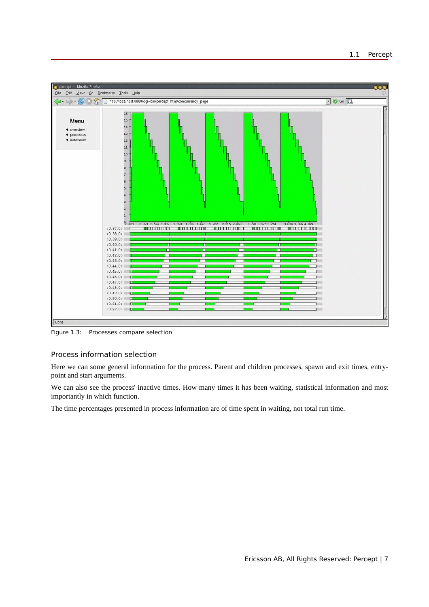#### 1.1 Percept



Figure 1.3: Processes compare selection

### Process information selection

Here we can some general information for the process. Parent and children processes, spawn and exit times, entrypoint and start arguments.

We can also see the process' inactive times. How many times it has been waiting, statistical information and most importantly in which function.

The time percentages presented in process information are of time spent in waiting, not total run time.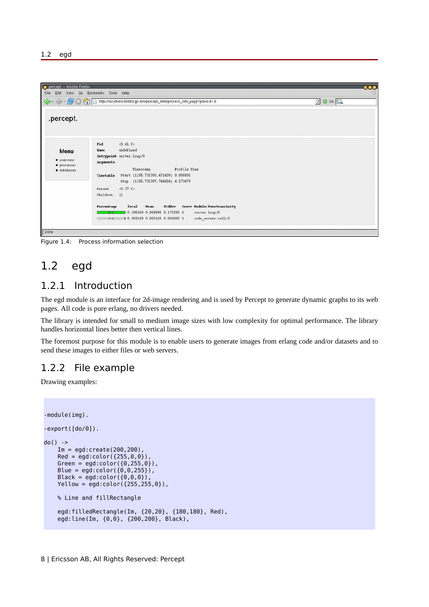| percept. - Mozilla Firefox                                                                                                                                                                                                                                                                                                                                                                                                                                         | 8.6.8                             |
|--------------------------------------------------------------------------------------------------------------------------------------------------------------------------------------------------------------------------------------------------------------------------------------------------------------------------------------------------------------------------------------------------------------------------------------------------------------------|-----------------------------------|
|                                                                                                                                                                                                                                                                                                                                                                                                                                                                    | $\circ$ Go $\circ$<br>$\sqrt{2}$  |
|                                                                                                                                                                                                                                                                                                                                                                                                                                                                    |                                   |
| (0.41.0)<br>Pid<br>undefined<br>Name<br>Entrypoint sorter: loop/0<br>Arquments<br>Profile Time<br>Timestamp<br>Start (1195, 735393, 471438) 0.000892<br>Timetable<br>Stop (1195, 735397, 744024) 4.273478<br>(0.37.0)<br>Parent<br>Children<br>$\prod$<br>#recv Module: Function/Arity<br><b>Total</b><br>Mean<br>StdDev<br>Percentage<br>0.395368 0.065895 0.172293 6<br>sorter: loop/0<br>  0.002168 0.002168 0.000000 1<br>code_server:call/2<br>1 <sup>2</sup> |                                   |
|                                                                                                                                                                                                                                                                                                                                                                                                                                                                    | Edit View Go Bookmarks Tools Help |

Figure 1.4: Process information selection

# 1.2 egd

### 1.2.1 Introduction

The egd module is an interface for 2d-image rendering and is used by Percept to generate dynamic graphs to its web pages. All code is pure erlang, no drivers needed.

The library is intended for small to medium image sizes with low complexity for optimal performance. The library handles horizontal lines better then vertical lines.

The foremost purpose for this module is to enable users to generate images from erlang code and/or datasets and to send these images to either files or web servers.

### 1.2.2 File example

Drawing examples:

```
-module(img).
-export([do/0]).
do() ->
     Im = egd:create(200,200),
    Red = <code>egd:color({255,0,0})</code>Green = ed:color({0,0.255,0}),
    Blue = egd:color({0, 0, 255}),
    Black = eggd:color({0,0,0}),
     Yellow = egd:color({255,255,0}),
     % Line and fillRectangle
     egd:filledRectangle(Im, {20,20}, {180,180}, Red),
     egd:line(Im, {0,0}, {200,200}, Black),
```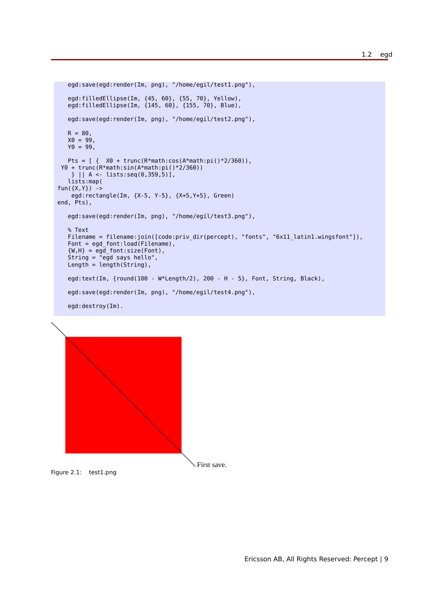```
 egd:save(egd:render(Im, png), "/home/egil/test1.png"),
 egd:filledEllipse(Im, {45, 60}, {55, 70}, Yellow),
 egd:filledEllipse(Im, {145, 60}, {155, 70}, Blue),
    egd:save(egd:render(Im, png), "/home/egil/test2.png"),
   R = 80,
   X0 = 99.
   Y0 = 99,
   Pts = [ { X\theta + trunc(R*math:cos(A*math:pi()*2/360)),
  Y0 + trunc(R*math:sin(A*math:pi()*2/360))
    \} || A <- lists:seq(0,359,5)],
    lists:map(
fun({X,Y}) ->
     egd:rectangle(Im, {X-5, Y-5}, {X+5,Y+5}, Green)
 end, Pts), 
    egd:save(egd:render(Im, png), "/home/egil/test3.png"),
    % Text
    Filename = filename:join([code:priv_dir(percept), "fonts", "6x11_latin1.wingsfont"]),
    Font = egd_font:load(Filename),
   {W,H} = \overline{egd} font:size(Font),
    String = "egd says hello",
   Length = length(String),
    egd:text(Im, {round(100 - W*Length/2), 200 - H - 5}, Font, String, Black),
    egd:save(egd:render(Im, png), "/home/egil/test4.png"),
    egd:destroy(Im).
```
First save.

Figure 2.1: test1.png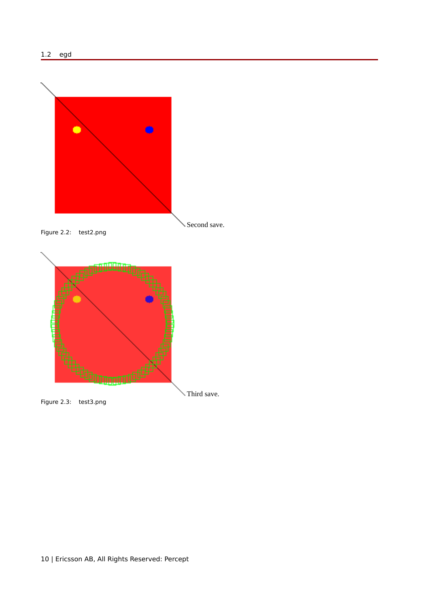

Figure 2.2: test2.png

Second save.



Figure 2.3: test3.png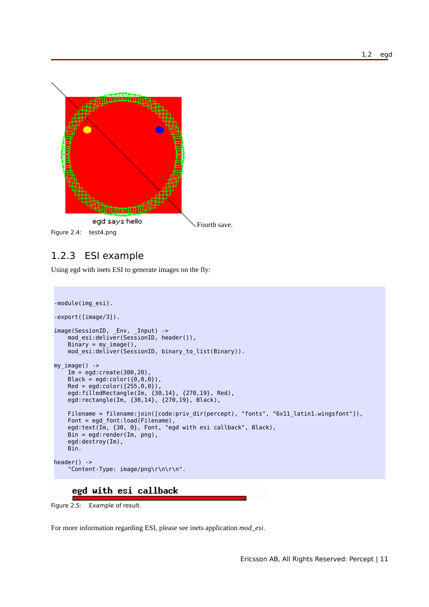

## 1.2.3 ESI example

Using egd with inets ESI to generate images on the fly:

```
-module(img_esi).
-export([image/3]).
image(SessionID, _Env, _Input) ->
     mod_esi:deliver(SessionID, header()),
    Binary = my\_image(),
    mod esi:deliver(SessionID, binary to list(Binary)).
my\_image() ->
    Im = egd:create(300, 20)Black = egd:color({0,0,0}),
    Red = egd:color({255,0,0}),
     egd:filledRectangle(Im, {30,14}, {270,19}, Red),
     egd:rectangle(Im, {30,14}, {270,19}, Black),
     Filename = filename:join([code:priv_dir(percept), "fonts", "6x11_latin1.wingsfont"]),
     Font = egd_font:load(Filename),
     egd:text(Im, {30, 0}, Font, "egd with esi callback", Black),
    Bin = egd:render(Im, png), egd:destroy(Im),
    Bin.
header() ->
     "Content-Type: image/png\r\n\r\n".
```
## egd with esi callback

Figure 2.5: Example of result.

For more information regarding ESI, please see inets application *mod\_esi*.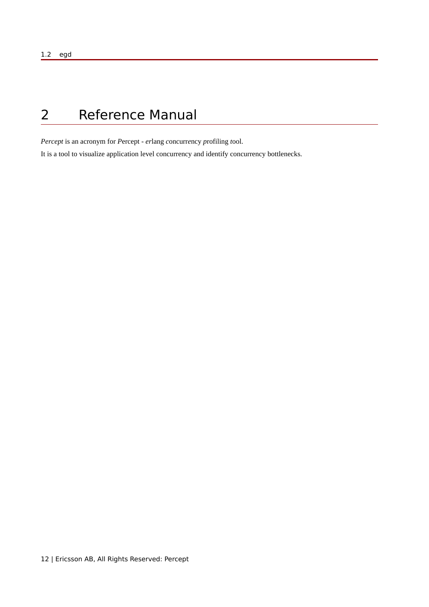# 2 Reference Manual

*Percept* is an acronym for *P*ercept - *er*lang *c*oncurr*e*ncy *p*rofiling *t*ool.

It is a tool to visualize application level concurrency and identify concurrency bottlenecks.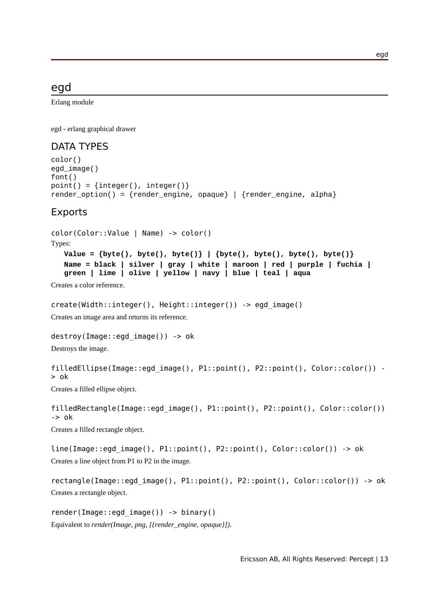# egd

Erlang module

egd - erlang graphical drawer

# DATA TYPES

```
color()
egd_image()
font()
point() = \{interger(), integer()\}render_option() = {render_engine, opaque} | {render_engine, alpha}
```
# Exports

```
color(Color::Value | Name) -> color()
Types:
   Value = \{byte(), byte(), byte() \} \{byte(), byte(), byte() \}Name = black | silver | gray | white | maroon | red | purple | fuchia |
   green | lime | olive | yellow | navy | blue | teal | aqua
Creates a color reference.
```

```
create(Width::integer(), Height::integer()) -> egd_image()
```
Creates an image area and returns its reference.

destroy(Image::egd\_image()) -> ok

Destroys the image.

```
filledEllipse(Image::egd_image(), P1::point(), P2::point(), Color::color()) -
> ok
```
Creates a filled ellipse object.

```
filledRectangle(Image::egd_image(), P1::point(), P2::point(), Color::color())
-> ok
```
Creates a filled rectangle object.

```
line(Image::egd_image(), P1::point(), P2::point(), Color::color()) -> ok
Creates a line object from P1 to P2 in the image.
```

```
rectangle(Image::egd_image(), P1::point(), P2::point(), Color::color()) -> ok
Creates a rectangle object.
```

```
render(Image::egd_image()) -> binary()
Equivalent to render(Image, png, [{render_engine, opaque}]).
```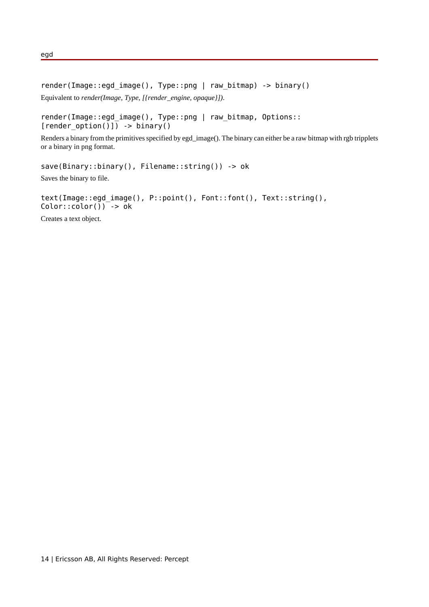render(Image::egd\_image(), Type::png | raw\_bitmap) -> binary() Equivalent to *render(Image, Type, [{render\_engine, opaque}])*.

```
render(Image::egd_image(), Type::png | raw_bitmap, Options::
[render\_option()]\) -> binary()
```
Renders a binary from the primitives specified by egd\_image(). The binary can either be a raw bitmap with rgb tripplets or a binary in png format.

save(Binary::binary(), Filename::string()) -> ok

Saves the binary to file.

```
text(Image::egd_image(), P::point(), Font::font(), Text::string(),
Color::color()) -> ok
```
Creates a text object.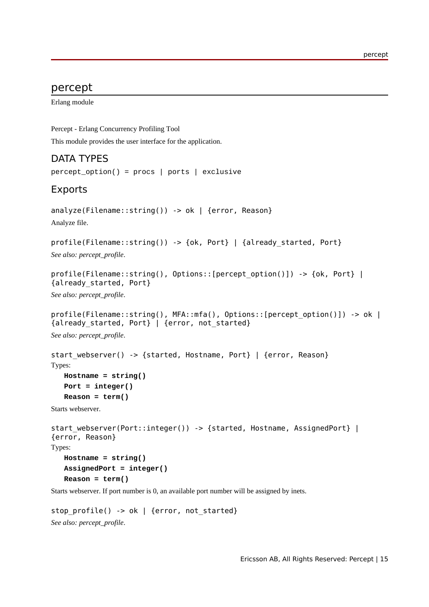### percept

Erlang module

Percept - Erlang Concurrency Profiling Tool This module provides the user interface for the application.

DATA TYPES percept\_option() = procs | ports | exclusive Exports analyze(Filename::string()) -> ok | {error, Reason} Analyze file. profile(Filename::string()) -> {ok, Port} | {already\_started, Port} *See also: percept\_profile*. profile(Filename::string(), Options::[percept\_option()]) -> {ok, Port} | {already\_started, Port} *See also: percept\_profile*. profile(Filename::string(), MFA::mfa(), Options::[percept\_option()]) -> ok | {already\_started, Port} | {error, not\_started} *See also: percept\_profile*. start webserver() -> {started, Hostname, Port} | {error, Reason} Types: **Hostname = string() Port = integer()**

**Reason = term()**

Starts webserver.

```
start webserver(Port::integer()) -> {started, Hostname, AssignedPort} |
{error, Reason}
Types:
   Hostname = string()
   AssignedPort = integer()
   Reason = term()
```
Starts webserver. If port number is 0, an available port number will be assigned by inets.

```
stop profile() -> ok | {error, not started}
```
*See also: percept\_profile*.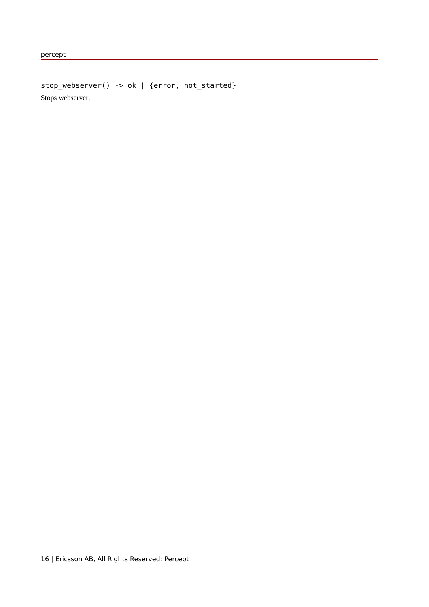stop\_webserver() -> ok | {error, not\_started} Stops webserver.